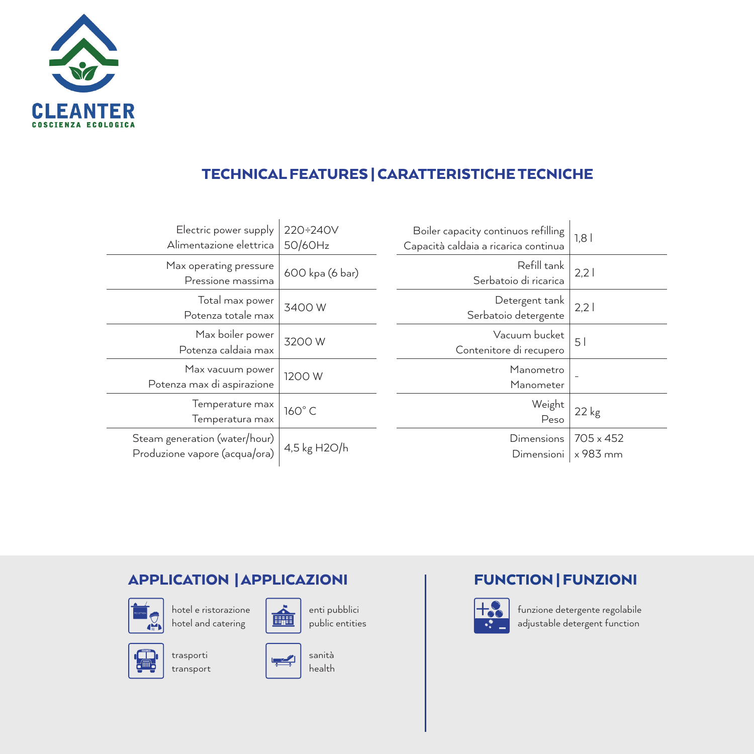

## TECHNICAL FEATURES | CARATTERISTICHE TECNICHE

| Electric power supply<br>Alimentazione elettrica               | 220÷240V<br>50/60Hz | Boiler capacity continuos refilling<br>Capacità caldaia a ricarica continua | 1,8                          |
|----------------------------------------------------------------|---------------------|-----------------------------------------------------------------------------|------------------------------|
| Max operating pressure<br>Pressione massima                    | 600 kpa (6 bar)     | Refill tank<br>Serbatoio di ricarica                                        | 2.2                          |
| Total max power<br>Potenza totale max                          | 3400W               | Detergent tank<br>Serbatoio detergente                                      | 2.2                          |
| Max boiler power<br>Potenza caldaia max                        | 3200 W              | Vacuum bucket<br>Contenitore di recupero                                    | 5 <sup>1</sup>               |
| Max vacuum power<br>Potenza max di aspirazione                 | 1200 W              | Manometro<br>Manometer                                                      | $\qquad \qquad -$            |
| Temperature max<br>Temperatura max                             | 160°C               | Weight<br>Peso                                                              | $22$ kg                      |
| Steam generation (water/hour)<br>Produzione vapore (acqua/ora) | 4,5 kg H2O/h        | Dimensions<br>Dimensioni                                                    | $705 \times 452$<br>x 983 mm |

## APPLICATION | APPLICAZIONI



hotel e ristorazione hotel and catering



enti pubblici public entities



trasporti transport



## FUNCTION | FUNZIONI



funzione detergente regolabile adjustable detergent function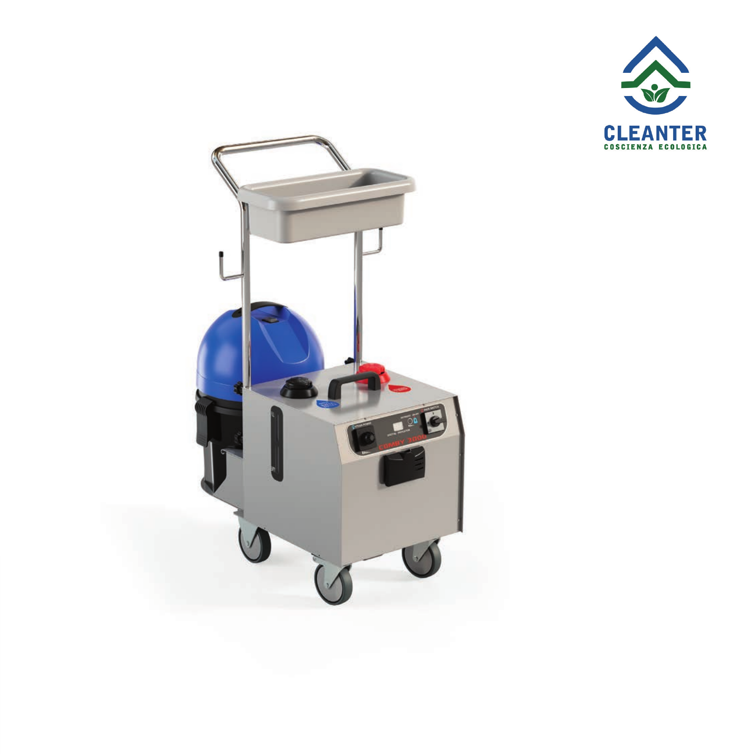

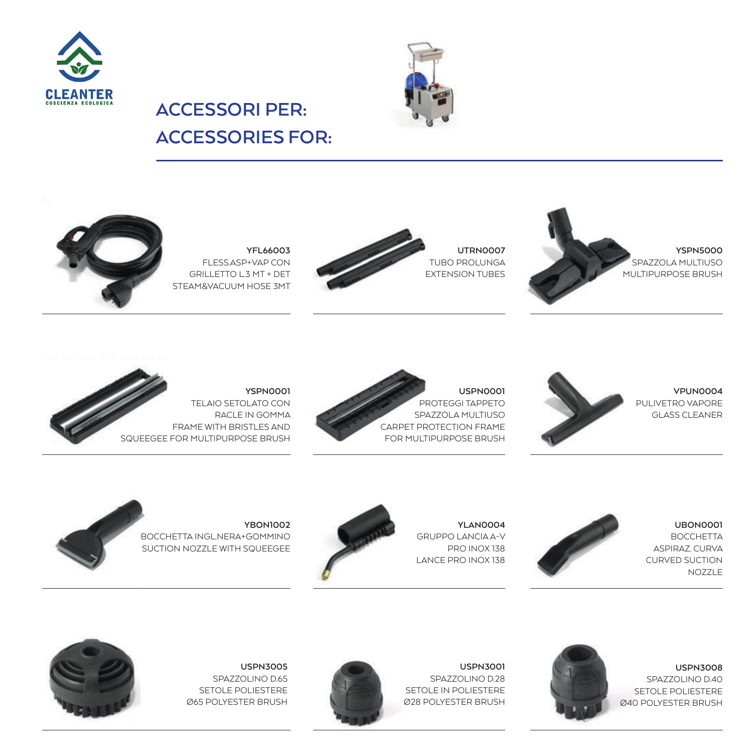



## **ACCESSORIES FOR:**

**ACCESSORI PER:**



**YFL66003** FLESS.ASP+VAP CON GRILLETTO L.3 MT + DET STEAM&VACUUM HOSE 3MT



**UTRN0007** TUBO PROLUNGA EXTENSION TUBES





**YSPN0001** TELAIO SETOLATO CON RACLE IN GOMMA FRAME WITH BRISTLES AND SQUEEGEE FOR MULTIPURPOSE BRUSH





**UBON0001 BOCCHETTA** ASPIRAZ. CURVA CURVED SUCTION NOZZLE

**USPN3008** SPAZZOLINO D.40 SETOLE POLIESTERE Ø40 POLYESTER BRUSH



**YLAN0004** GRUPPO LANCIA A-V PRO INOX 138 LANCE PRO INOX 138



**YBON1002** BOCCHETTA INGL.NERA+GOMMINO SUCTION NOZZLE WITH SQUEEGEE

**USPN3005** SPAZZOLINO D.65 SETOLE POLIESTERE Ø65 POLYESTER BRUSH



**USPN3001** SPAZZOLINO D.28 SETOLE IN POLIESTERE Ø28 POLYESTER BRUSH